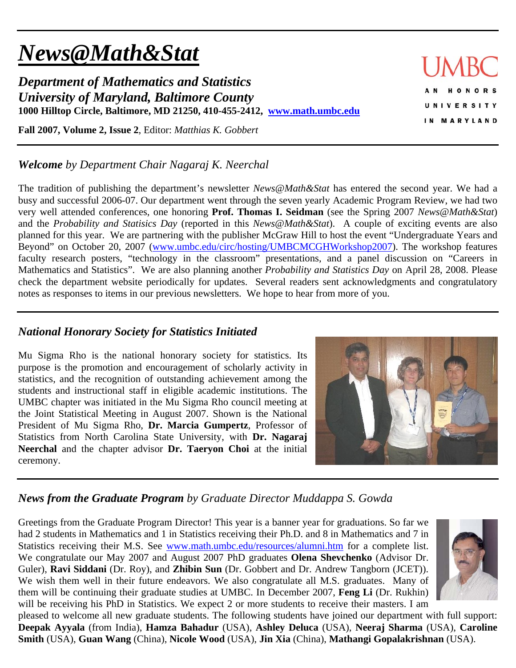# *News@Math&Stat*

*Department of Mathematics and Statistics University of Maryland, Baltimore County*  **1000 Hilltop Circle, Baltimore, MD 21250, 410-455-2412, www.math.umbc.edu**

**Fall 2007, Volume 2, Issue 2**, Editor: *Matthias K. Gobbert* 

## *Welcome by Department Chair Nagaraj K. Neerchal*

The tradition of publishing the department's newsletter *News@Math&Stat* has entered the second year. We had a busy and successful 2006-07. Our department went through the seven yearly Academic Program Review, we had two very well attended conferences, one honoring **Prof. Thomas I. Seidman** (see the Spring 2007 *News@Math&Stat*) and the *Probability and Statisics Day* (reported in this *News@Math&Stat*). A couple of exciting events are also planned for this year. We are partnering with the publisher McGraw Hill to host the event "Undergraduate Years and Beyond" on October 20, 2007 (www.umbc.edu/circ/hosting/UMBCMCGHWorkshop2007). The workshop features faculty research posters, "technology in the classroom" presentations, and a panel discussion on "Careers in Mathematics and Statistics". We are also planning another *Probability and Statistics Day* on April 28, 2008. Please check the department website periodically for updates. Several readers sent acknowledgments and congratulatory notes as responses to items in our previous newsletters. We hope to hear from more of you.

# *National Honorary Society for Statistics Initiated*

Mu Sigma Rho is the national honorary society for statistics. Its purpose is the promotion and encouragement of scholarly activity in statistics, and the recognition of outstanding achievement among the students and instructional staff in eligible academic institutions. The UMBC chapter was initiated in the Mu Sigma Rho council meeting at the Joint Statistical Meeting in August 2007. Shown is the National President of Mu Sigma Rho, **Dr. Marcia Gumpertz**, Professor of Statistics from North Carolina State University, with **Dr. Nagaraj Neerchal** and the chapter advisor **Dr. Taeryon Choi** at the initial ceremony.



# *News from the Graduate Program by Graduate Director Muddappa S. Gowda*

Greetings from the Graduate Program Director! This year is a banner year for graduations. So far we had 2 students in Mathematics and 1 in Statistics receiving their Ph.D. and 8 in Mathematics and 7 in Statistics receiving their M.S. See www.math.umbc.edu/resources/alumni.htm for a complete list. We congratulate our May 2007 and August 2007 PhD graduates **Olena Shevchenko** (Advisor Dr. Guler), **Ravi Siddani** (Dr. Roy), and **Zhibin Sun** (Dr. Gobbert and Dr. Andrew Tangborn (JCET)). We wish them well in their future endeavors. We also congratulate all M.S. graduates. Many of them will be continuing their graduate studies at UMBC. In December 2007, **Feng Li** (Dr. Rukhin) will be receiving his PhD in Statistics. We expect 2 or more students to receive their masters. I am



pleased to welcome all new graduate students. The following students have joined our department with full support: **Deepak Ayyala** (from India), **Hamza Bahadur** (USA), **Ashley Deluca** (USA), **Neeraj Sharma** (USA), **Caroline Smith** (USA), **Guan Wang** (China), **Nicole Wood** (USA), **Jin Xia** (China), **Mathangi Gopalakrishnan** (USA).

ONORS **UNIVERSITY** IN MARYLAND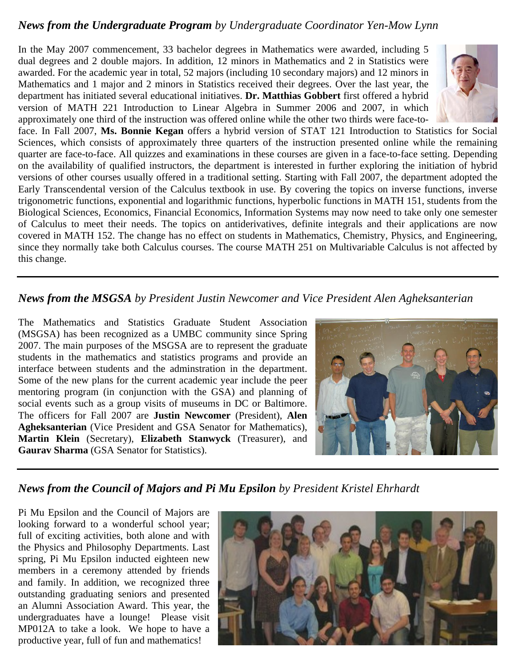#### *News from the Undergraduate Program by Undergraduate Coordinator Yen-Mow Lynn*

In the May 2007 commencement, 33 bachelor degrees in Mathematics were awarded, including 5 dual degrees and 2 double majors. In addition, 12 minors in Mathematics and 2 in Statistics were awarded. For the academic year in total, 52 majors (including 10 secondary majors) and 12 minors in Mathematics and 1 major and 2 minors in Statistics received their degrees. Over the last year, the department has initiated several educational initiatives. **Dr. Matthias Gobbert** first offered a hybrid version of MATH 221 Introduction to Linear Algebra in Summer 2006 and 2007, in which approximately one third of the instruction was offered online while the other two thirds were face-to-



face. In Fall 2007, **Ms. Bonnie Kegan** offers a hybrid version of STAT 121 Introduction to Statistics for Social Sciences, which consists of approximately three quarters of the instruction presented online while the remaining quarter are face-to-face. All quizzes and examinations in these courses are given in a face-to-face setting. Depending on the availability of qualified instructors, the department is interested in further exploring the initiation of hybrid versions of other courses usually offered in a traditional setting. Starting with Fall 2007, the department adopted the Early Transcendental version of the Calculus textbook in use. By covering the topics on inverse functions, inverse trigonometric functions, exponential and logarithmic functions, hyperbolic functions in MATH 151, students from the Biological Sciences, Economics, Financial Economics, Information Systems may now need to take only one semester of Calculus to meet their needs. The topics on antiderivatives, definite integrals and their applications are now covered in MATH 152. The change has no effect on students in Mathematics, Chemistry, Physics, and Engineering, since they normally take both Calculus courses. The course MATH 251 on Multivariable Calculus is not affected by this change.

### *News from the MSGSA by President Justin Newcomer and Vice President Alen Agheksanterian*

The Mathematics and Statistics Graduate Student Association (MSGSA) has been recognized as a UMBC community since Spring 2007. The main purposes of the MSGSA are to represent the graduate students in the mathematics and statistics programs and provide an interface between students and the adminstration in the department. Some of the new plans for the current academic year include the peer mentoring program (in conjunction with the GSA) and planning of social events such as a group visits of museums in DC or Baltimore. The officers for Fall 2007 are **Justin Newcomer** (President), **Alen Agheksanterian** (Vice President and GSA Senator for Mathematics), **Martin Klein** (Secretary), **Elizabeth Stanwyck** (Treasurer), and **Gaurav Sharma** (GSA Senator for Statistics).



# *News from the Council of Majors and Pi Mu Epsilon by President Kristel Ehrhardt*

Pi Mu Epsilon and the Council of Majors are looking forward to a wonderful school year; full of exciting activities, both alone and with the Physics and Philosophy Departments. Last spring, Pi Mu Epsilon inducted eighteen new members in a ceremony attended by friends and family. In addition, we recognized three outstanding graduating seniors and presented an Alumni Association Award. This year, the undergraduates have a lounge! Please visit MP012A to take a look. We hope to have a productive year, full of fun and mathematics!

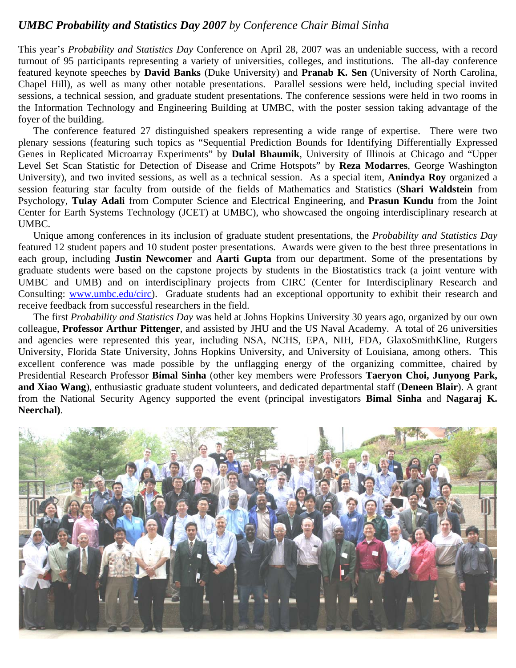#### *UMBC Probability and Statistics Day 2007 by Conference Chair Bimal Sinha*

This year's *Probability and Statistics Day* Conference on April 28, 2007 was an undeniable success, with a record turnout of 95 participants representing a variety of universities, colleges, and institutions. The all-day conference featured keynote speeches by **David Banks** (Duke University) and **Pranab K. Sen** (University of North Carolina, Chapel Hill), as well as many other notable presentations. Parallel sessions were held, including special invited sessions, a technical session, and graduate student presentations. The conference sessions were held in two rooms in the Information Technology and Engineering Building at UMBC, with the poster session taking advantage of the foyer of the building.

The conference featured 27 distinguished speakers representing a wide range of expertise. There were two plenary sessions (featuring such topics as "Sequential Prediction Bounds for Identifying Differentially Expressed Genes in Replicated Microarray Experiments" by **Dulal Bhaumik**, University of Illinois at Chicago and "Upper Level Set Scan Statistic for Detection of Disease and Crime Hotspots" by **Reza Modarres**, George Washington University), and two invited sessions, as well as a technical session. As a special item, **Anindya Roy** organized a session featuring star faculty from outside of the fields of Mathematics and Statistics (**Shari Waldstein** from Psychology, **Tulay Adali** from Computer Science and Electrical Engineering, and **Prasun Kundu** from the Joint Center for Earth Systems Technology (JCET) at UMBC), who showcased the ongoing interdisciplinary research at UMBC.

Unique among conferences in its inclusion of graduate student presentations, the *Probability and Statistics Day* featured 12 student papers and 10 student poster presentations. Awards were given to the best three presentations in each group, including **Justin Newcomer** and **Aarti Gupta** from our department. Some of the presentations by graduate students were based on the capstone projects by students in the Biostatistics track (a joint venture with UMBC and UMB) and on interdisciplinary projects from CIRC (Center for Interdisciplinary Research and Consulting: www.umbc.edu/circ). Graduate students had an exceptional opportunity to exhibit their research and receive feedback from successful researchers in the field.

The first *Probability and Statistics Day* was held at Johns Hopkins University 30 years ago, organized by our own colleague, **Professor Arthur Pittenger**, and assisted by JHU and the US Naval Academy. A total of 26 universities and agencies were represented this year, including NSA, NCHS, EPA, NIH, FDA, GlaxoSmithKline, Rutgers University, Florida State University, Johns Hopkins University, and University of Louisiana, among others. This excellent conference was made possible by the unflagging energy of the organizing committee, chaired by Presidential Research Professor **Bimal Sinha** (other key members were Professors **Taeryon Choi, Junyong Park, and Xiao Wang**), enthusiastic graduate student volunteers, and dedicated departmental staff (**Deneen Blair**). A grant from the National Security Agency supported the event (principal investigators **Bimal Sinha** and **Nagaraj K. Neerchal)**.